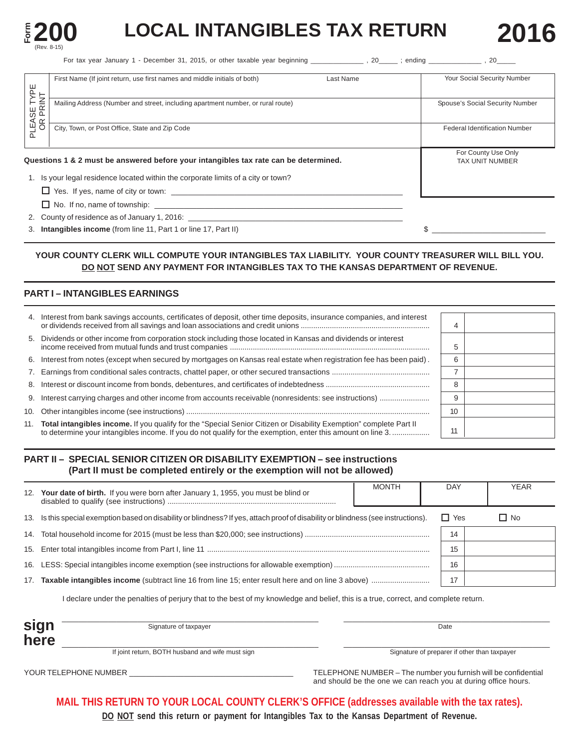

# **LOCAL INTANGIBLES TAX RETURN 2016**

For tax year January 1 - December 31, 2015, or other taxable year beginning \_\_\_\_\_\_\_\_\_\_\_\_, 20\_\_\_\_\_; ending \_\_\_\_\_\_\_\_\_\_\_\_\_\_\_, 20\_\_\_\_\_\_\_

|                               | First Name (If joint return, use first names and middle initials of both)<br>Last Name | Your Social Security Number          |
|-------------------------------|----------------------------------------------------------------------------------------|--------------------------------------|
| <b>LEASE TYPE</b><br>OR PRINT | Mailing Address (Number and street, including apartment number, or rural route)        | Spouse's Social Security Number      |
|                               |                                                                                        |                                      |
| ∩                             | City, Town, or Post Office, State and Zip Code                                         | <b>Federal Identification Number</b> |
|                               |                                                                                        | For County Use Only                  |
|                               | Questions 1 & 2 must be answered before your intangibles tax rate can be determined.   | <b>TAX UNIT NUMBER</b>               |
|                               | 1. Is your legal residence located within the corporate limits of a city or town?      |                                      |
|                               |                                                                                        |                                      |
|                               | $\Box$ No. If no, name of township:                                                    |                                      |
|                               | 2. County of residence as of January 1, 2016:                                          |                                      |
|                               | 3. Intangibles income (from line 11, Part 1 or line 17, Part II)                       |                                      |

### **YOUR COUNTY CLERK WILL COMPUTE YOUR INTANGIBLES TAX LIABILITY. YOUR COUNTY TREASURER WILL BILL YOU. DO NOT SEND ANY PAYMENT FOR INTANGIBLES TAX TO THE KANSAS DEPARTMENT OF REVENUE.**

### **PART I – INTANGIBLES EARNINGS**

| 4. Interest from bank savings accounts, certificates of deposit, other time deposits, insurance companies, and interest                                                                                                              |    |  |
|--------------------------------------------------------------------------------------------------------------------------------------------------------------------------------------------------------------------------------------|----|--|
| 5. Dividends or other income from corporation stock including those located in Kansas and dividends or interest                                                                                                                      |    |  |
| 6. Interest from notes (except when secured by mortgages on Kansas real estate when registration fee has been paid).                                                                                                                 | 6  |  |
|                                                                                                                                                                                                                                      |    |  |
|                                                                                                                                                                                                                                      | я  |  |
|                                                                                                                                                                                                                                      | c  |  |
|                                                                                                                                                                                                                                      | 10 |  |
| 11. Total intangibles income. If you qualify for the "Special Senior Citizen or Disability Exemption" complete Part II<br>to determine your intangibles income. If you do not qualify for the exemption, enter this amount on line 3 |    |  |

### **PART II – SPECIAL SENIOR CITIZEN OR DISABILITY EXEMPTION – see instructions (Part II must be completed entirely or the exemption will not be allowed)**

| 12. | Your date of birth. If you were born after January 1, 1955, you must be blind or                                                    | <b>MONTH</b> | DAY        | <b>YEAR</b> |
|-----|-------------------------------------------------------------------------------------------------------------------------------------|--------------|------------|-------------|
|     | 13. Is this special exemption based on disability or blindness? If yes, attach proof of disability or blindness (see instructions). |              | $\Box$ Yes | $\Box$ No   |
|     |                                                                                                                                     |              | 14         |             |
|     |                                                                                                                                     |              |            |             |
|     |                                                                                                                                     |              | 16         |             |
| 17. |                                                                                                                                     |              | 17         |             |
|     | l declare under the penalties of perjury that to the best of my knowledge and belief, this is a true, correct, and complete return. |              |            |             |

| sign | Signature of taxpayer                            | Date                                         |
|------|--------------------------------------------------|----------------------------------------------|
| here |                                                  |                                              |
|      | If joint return, BOTH husband and wife must sign | Signature of preparer if other than taxpayer |

YOUR TELEPHONE NUMBER \_\_\_\_\_\_\_\_\_\_\_\_\_\_\_\_\_\_\_\_\_\_\_\_\_\_\_\_\_\_\_\_\_\_\_\_\_\_\_ TELEPHONE NUMBER – The number you furnish will be confidential and should be the one we can reach you at during office hours.

**MAIL THIS RETURN TO YOUR LOCAL COUNTY CLERK'S OFFICE (addresses available with the tax rates).** 

**DO NOT send this return or payment for Intangibles Tax to the Kansas Department of Revenue.**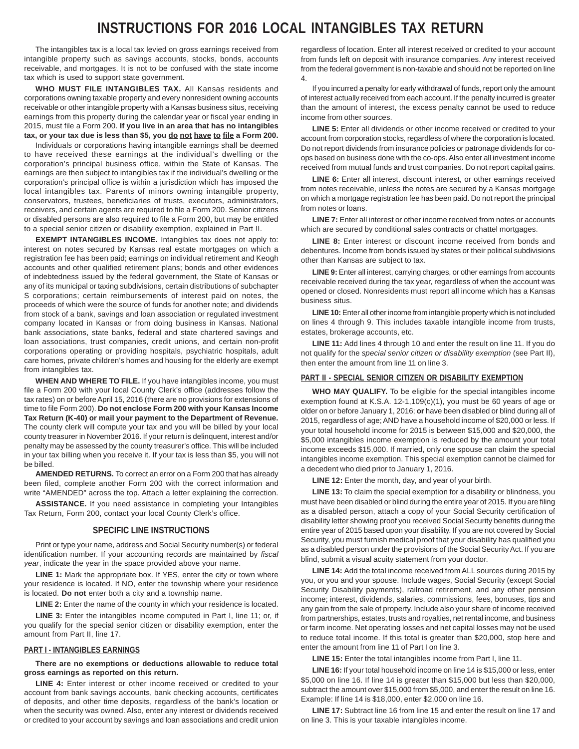# **INSTRUCTIONS FOR 2016 LOCAL INTANGIBLES TAX RETURN**

The intangibles tax is a local tax levied on gross earnings received from intangible property such as savings accounts, stocks, bonds, accounts receivable, and mortgages. It is not to be confused with the state income tax which is used to support state government.

**WHO MUST FILE INTANGIBLES TAX.** All Kansas residents and corporations owning taxable property and every nonresident owning accounts receivable or other intangible property with a Kansas business situs, receiving earnings from this property during the calendar year or fiscal year ending in 2015, must file a Form 200. **If you live in an area that has no intangibles tax, or your tax due is less than \$5, you do not have to file a Form 200.** 

Individuals or corporations having intangible earnings shall be deemed to have received these earnings at the individual's dwelling or the corporation's principal business office, within the State of Kansas. The earnings are then subject to intangibles tax if the individual's dwelling or the corporation's principal office is within a jurisdiction which has imposed the local intangibles tax. Parents of minors owning intangible property, conservators, trustees, beneficiaries of trusts, executors, administrators, receivers, and certain agents are required to file a Form 200. Senior citizens or disabled persons are also required to file a Form 200, but may be entitled to a special senior citizen or disability exemption, explained in Part II.

**EXEMPT INTANGIBLES INCOME.** Intangibles tax does not apply to: interest on notes secured by Kansas real estate mortgages on which a registration fee has been paid; earnings on individual retirement and Keogh accounts and other qualified retirement plans; bonds and other evidences of indebtedness issued by the federal government, the State of Kansas or any of its municipal or taxing subdivisions, certain distributions of subchapter S corporations; certain reimbursements of interest paid on notes, the proceeds of which were the source of funds for another note; and dividends from stock of a bank, savings and loan association or regulated investment company located in Kansas or from doing business in Kansas. National bank associations, state banks, federal and state chartered savings and loan associations, trust companies, credit unions, and certain non-profit corporations operating or providing hospitals, psychiatric hospitals, adult care homes, private children's homes and housing for the elderly are exempt from intangibles tax.

**WHEN AND WHERE TO FILE.** If you have intangibles income, you must file a Form 200 with your local County Clerk's office (addresses follow the tax rates) on or before April 15, 2016 (there are no provisions for extensions of time to file Form 200). **Do not enclose Form 200 with your Kansas Income Tax Return (K-40) or mail your payment to the Department of Revenue.**  The county clerk will compute your tax and you will be billed by your local county treasurer in November 2016. If your return is delinquent, interest and/or penalty may be assessed by the county treasurer's office. This will be included in your tax billing when you receive it. If your tax is less than \$5, you will not be billed.

**AMENDED RETURNS.** To correct an error on a Form 200 that has already been filed, complete another Form 200 with the correct information and write "AMENDED" across the top. Attach a letter explaining the correction.

**ASSISTANCE.** If you need assistance in completing your Intangibles Tax Return, Form 200, contact your local County Clerk's office.

#### **SPECIFIC LINE INSTRUCTIONS**

Print or type your name, address and Social Security number(s) or federal identification number. If your accounting records are maintained by *fiscal year*, indicate the year in the space provided above your name.

**LINE 1:** Mark the appropriate box. If YES, enter the city or town where your residence is located. If NO, enter the township where your residence is located. **Do not** enter both a city and a township name.

LINE 2: Enter the name of the county in which your residence is located.

LINE 3: Enter the intangibles income computed in Part I, line 11; or, if you qualify for the special senior citizen or disability exemption, enter the amount from Part II, line 17.

#### **PART I - INTANGIBLES EARNINGS**

**There are no exemptions or deductions allowable to reduce total gross earnings as reported on this return.** 

LINE 4: Enter interest or other income received or credited to your account from bank savings accounts, bank checking accounts, certificates of deposits, and other time deposits, regardless of the bank's location or when the security was owned. Also, enter any interest or dividends received or credited to your account by savings and loan associations and credit union

regardless of location. Enter all interest received or credited to your account from funds left on deposit with insurance companies. Any interest received from the federal government is non-taxable and should not be reported on line 4.

If you incurred a penalty for early withdrawal of funds, report only the amount of interest actually received from each account. If the penalty incurred is greater than the amount of interest, the excess penalty cannot be used to reduce income from other sources.

**LINE 5:** Enter all dividends or other income received or credited to your account from corporation stocks, regardless of where the corporation is located. Do not report dividends from insurance policies or patronage dividends for coops based on business done with the co-ops. Also enter all investment income received from mutual funds and trust companies. Do not report capital gains.

**LINE 6:** Enter all interest, discount interest, or other earnings received from notes receivable, unless the notes are secured by a Kansas mortgage on which a mortgage registration fee has been paid. Do not report the principal from notes or loans.

**LINE 7:** Enter all interest or other income received from notes or accounts which are secured by conditional sales contracts or chattel mortgages.

**LINE 8:** Enter interest or discount income received from bonds and debentures. Income from bonds issued by states or their political subdivisions other than Kansas are subject to tax.

**LINE 9:** Enter all interest, carrying charges, or other earnings from accounts receivable received during the tax year, regardless of when the account was opened or closed. Nonresidents must report all income which has a Kansas business situs.

**LINE 10:** Enter all other income from intangible property which is not included on lines 4 through 9. This includes taxable intangible income from trusts, estates, brokerage accounts, etc.

**LINE 11:** Add lines 4 through 10 and enter the result on line 11. If you do not qualify for the *special senior citizen or disability exemption* (see Part II), then enter the amount from line 11 on line 3.

#### **PART II - SPECIAL SENIOR CITIZEN OR DISABILITY EXEMPTION**

**WHO MAY QUALIFY.** To be eligible for the special intangibles income exemption found at K.S.A. 12-1,109(c)(1), you must be 60 years of age or older on or before January 1, 2016; **or** have been disabled or blind during all of 2015, regardless of age; AND have a household income of \$20,000 or less. If your total household income for 2015 is between \$15,000 and \$20,000, the \$5,000 intangibles income exemption is reduced by the amount your total income exceeds \$15,000. If married, only one spouse can claim the special intangibles income exemption. This special exemption cannot be claimed for a decedent who died prior to January 1, 2016.

**LINE 12:** Enter the month, day, and year of your birth.

**LINE 13:** To claim the special exemption for a disability or blindness, you must have been disabled or blind during the entire year of 2015. If you are filing as a disabled person, attach a copy of your Social Security certification of disability letter showing proof you received Social Security benefits during the entire year of 2015 based upon your disability. If you are not covered by Social Security, you must furnish medical proof that your disability has qualified you as a disabled person under the provisions of the Social Security Act. If you are blind, submit a visual acuity statement from your doctor.

**LINE 14:** Add the total income received from ALL sources during 2015 by you, or you and your spouse. Include wages, Social Security (except Social Security Disability payments), railroad retirement, and any other pension income; interest, dividends, salaries, commissions, fees, bonuses, tips and any gain from the sale of property. Include also your share of income received from partnerships, estates, trusts and royalties, net rental income, and business or farm income. Net operating losses and net capital losses may not be used to reduce total income. If this total is greater than \$20,000, stop here and enter the amount from line 11 of Part I on line 3.

**LINE 15:** Enter the total intangibles income from Part I, line 11.

**LINE 16:** If your total household income on line 14 is \$15,000 or less, enter \$5,000 on line 16. If line 14 is greater than \$15,000 but less than \$20,000, subtract the amount over \$15,000 from \$5,000, and enter the result on line 16. Example: If line 14 is \$18,000, enter \$2,000 on line 16.

**LINE 17:** Subtract line 16 from line 15 and enter the result on line 17 and on line 3. This is your taxable intangibles income.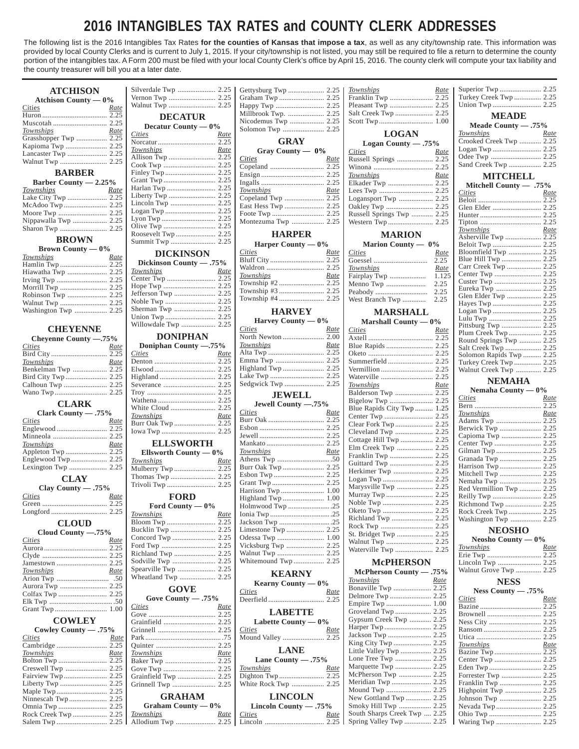# **2016 INTANGIBLES TAX RATES and COUNTY CLERK ADDRESSES**

The following list is the 2016 Intangibles Tax Rates **for the counties of Kansas that impose a tax**, as well as any city/township rate. This information was provided by local County Clerks and is current to July 1, 2015. If your city/township is not listed, you may still be required to file a return to determine the county portion of the intangibles tax. A Form 200 must be filed with your local County Clerk's office by April 15, 2016. The county clerk will compute your tax liability and the county treasurer will bill you at a later date.

| <b>ATCHISON</b>              |                         |             |                        |             | <b>Townships</b>             | <u>Rate</u> |                          |             |
|------------------------------|-------------------------|-------------|------------------------|-------------|------------------------------|-------------|--------------------------|-------------|
| Atchison County $-0\%$       |                         |             |                        |             | Franklin Twp  2.25           |             | Turkey Creek Twp  2.25   |             |
| Cities<br>Rate               |                         |             |                        |             |                              |             |                          |             |
|                              | <b>DECATUR</b>          |             | Millbrook Twp.  2.25   |             |                              |             | <b>MEADE</b>             |             |
|                              | Decatur County — 0%     |             |                        |             |                              |             | Meade County $-.75%$     |             |
| Townships<br>Rate            | <i>Cities</i>           | Rate        |                        |             | <b>LOGAN</b>                 |             | Townships                | <u>Rate</u> |
| Grasshopper Twp  2.25        |                         |             | <b>GRAY</b>            |             | Logan County $-.75%$         |             | Crooked Creek Twp  2.25  |             |
| Kapioma Twp  2.25            | Townships               | Rate        | Gray County — 0%       |             | <i>Cities</i>                | Rate        |                          |             |
|                              | Allison Twp  2.25       |             | Cities                 | Rate        |                              |             |                          |             |
|                              |                         |             |                        |             |                              |             | Sand Creek Twp  2.25     |             |
| <b>BARBER</b>                |                         |             |                        |             | Townships                    | Rate        | <b>MITCHELL</b>          |             |
| Barber County $-2.25%$       |                         |             |                        |             | Elkader Twp  2.25            |             | Mitchell County — .75%   |             |
| Townships<br>Rate            |                         |             | Townships              | Rate        |                              |             | Cities                   | Rate        |
| Lake City Twp  2.25          |                         |             |                        |             |                              |             |                          |             |
|                              |                         |             | East Hess Twp  2.25    |             |                              |             |                          |             |
|                              |                         |             |                        |             | Russell Springs Twp  2.25    |             |                          |             |
|                              |                         |             | Montezuma Twp  2.25    |             |                              |             |                          |             |
|                              |                         |             | <b>HARPER</b>          |             | <b>MARION</b>                |             | Townships                | Rate        |
| <b>BROWN</b>                 | Summit Twp  2.25        |             | Harper County $-0\%$   |             | Marion County — 0%           |             | Asherville Twp  2.25     |             |
| Brown County $-0\%$          |                         |             | Cities                 | <u>Rate</u> | <i>Cities</i>                | Rate        | Bloomfield Twp  2.25     |             |
| Townships<br><u>Rate</u>     | <b>DICKINSON</b>        |             |                        |             |                              |             |                          |             |
|                              | Dickinson County - .75% |             |                        |             | Townships                    | Rate        | Carr Creek Twp  2.25     |             |
| Hiawatha Twp  2.25           | Townships               | Rate        | Townships              | Rate        |                              |             |                          |             |
|                              |                         |             |                        |             |                              |             |                          |             |
|                              |                         |             |                        |             |                              |             |                          |             |
|                              |                         |             | Township #4  2.25      |             |                              |             | Glen Elder Twp  2.25     |             |
|                              |                         |             |                        |             |                              |             |                          |             |
| Washington Twp  2.25         |                         |             | <b>HARVEY</b>          |             | <b>MARSHALL</b>              |             |                          |             |
|                              |                         |             | Harvey County $-0\%$   |             | Marshall County $-0\%$       |             |                          |             |
| <b>CHEYENNE</b>              |                         |             | Cities                 | Rate        | <b>Cities</b>                | Rate        |                          |             |
| Cheyenne County -.75%        | <b>DONIPHAN</b>         |             | North Newton  2.00     |             |                              |             | Round Springs Twp  2.25  |             |
| Cities<br><u>Rate</u>        | Doniphan County -.75%   |             | Townships              | <u>Rate</u> |                              |             |                          |             |
|                              | Cities                  | Rate        |                        |             |                              |             | Solomon Rapids Twp  2.25 |             |
| Townships<br>Rate            |                         |             |                        |             |                              |             | Turkey Creek Twp  2.25   |             |
| Benkelman Twp  2.25          |                         |             |                        |             |                              |             | Walnut Creek Twp  2.25   |             |
|                              |                         |             |                        |             | Waterville  2.25             |             |                          |             |
|                              |                         |             |                        |             | <b>Townships</b>             | Rate        | <b>NEMAHA</b>            |             |
|                              |                         |             | <b>JEWELL</b>          |             | Balderson Twp  2.25          |             | Nemaha County $-0\%$     |             |
|                              |                         |             |                        |             |                              |             | Cities                   | <u>Rate</u> |
| <b>CLARK</b>                 |                         |             | Jewell County -. 75%   |             | Blue Rapids City Twp  1.25   |             |                          |             |
| Clark County - .75%          | Townships               | Rate        | Cities                 | Rate        |                              |             | Townships                | Rate        |
| <i>Cities</i><br>Rate        | Burr Oak Twp  2.25      |             |                        |             |                              |             | Adams Twp  2.25          |             |
|                              |                         |             |                        |             | Cleveland Twp  2.25          |             |                          |             |
| Minneola  2.25               |                         |             |                        |             | Cottage Hill Twp  2.25       |             |                          |             |
| Townships<br>Rate            | <b>ELLSWORTH</b>        |             |                        |             | Elm Creek Twp  2.25          |             |                          |             |
|                              | Ellsworth County $-0\%$ |             | Townships              | Rate        |                              |             |                          |             |
|                              | Townships               | Rate        |                        |             | Guittard Twp  2.25           |             | Granada Twp  2.25        |             |
|                              | Mulberry Twp  2.25      |             |                        |             | Herkimer Twp  2.25           |             | Mitchell Twp  2.25       |             |
| <b>CLAY</b>                  |                         |             |                        |             |                              |             | Nemaha Twp  2.25         |             |
| Clay County - .75%           |                         |             |                        |             | Marysville Twp  2.25         |             | Red Vermillion Twp  2.25 |             |
| Cities<br>Rate               | <b>FORD</b>             |             |                        |             |                              |             |                          |             |
|                              |                         |             |                        |             |                              |             |                          |             |
|                              | Ford County — $0\%$     |             | Holmwood Twp 25        |             |                              |             | Rock Creek Twp  2.25     |             |
|                              | <b>Townships</b>        | <u>Rate</u> |                        |             | Richland Twp  2.25           |             | Washington Twp  2.25     |             |
| <b>CLOUD</b>                 |                         |             |                        |             |                              |             |                          |             |
| Cloud County -. 75%          |                         |             |                        |             | St. Bridget Twp  2.25        |             | <b>NEOSHO</b>            |             |
| <i>Cities</i><br>Rate        |                         |             |                        |             |                              |             | Neosho County $-0\%$     |             |
|                              |                         |             | Vicksburg Twp  2.25    |             | Waterville Twp  2.25         |             | Townships                | Rate        |
|                              |                         |             | Whitemound Twp 2.25    |             |                              |             |                          |             |
|                              |                         |             |                        |             | <b>McPHERSON</b>             |             |                          |             |
| Townships<br>Rate            | Spearville Twp  2.25    |             | <b>KEARNY</b>          |             | McPherson County — .75%      |             | Walnut Grove Twp  2.25   |             |
|                              |                         |             | Kearny County $-0\%$   |             | Townships                    | <u>Rate</u> | <b>NESS</b>              |             |
| Aurora Twp  2.25             | <b>GOVE</b>             |             | <b>Cities</b>          | <u>Rate</u> | Bonaville Twp  2.25          |             | Ness County $-.75%$      |             |
|                              | Gove County - .75%      |             |                        |             |                              |             | <b>Cities</b>            | Rate        |
|                              | <i>Cities</i>           | <u>Rate</u> |                        |             | Empire Twp  1.00             |             |                          |             |
|                              |                         |             | <b>LABETTE</b>         |             |                              |             |                          |             |
| <b>COWLEY</b>                |                         |             | Labette County $-0\%$  |             | Gypsum Creek Twp  2.25       |             |                          |             |
| Cowley County - .75%         |                         |             | Cities                 | Rate        |                              |             |                          |             |
| <i>Cities</i><br><u>Rate</u> |                         |             | Mound Valley  2.25     |             |                              |             |                          |             |
|                              |                         |             |                        |             | King City Twp  2.25          |             | Townships                | Rate        |
| Townships<br>Rate            | Townships               | Rate        | <b>LANE</b>            |             | Little Valley Twp  2.25      |             |                          |             |
|                              |                         |             | Lane County $-.75%$    |             |                              |             |                          |             |
|                              |                         |             | Townships              | Rate        | Marquette Twp  2.25          |             |                          |             |
|                              | Grainfield Twp  2.25    |             |                        |             | McPherson Twp  2.25          |             |                          |             |
|                              |                         |             | White Rock Twp  2.25   |             |                              |             | Franklin Twp  2.25       |             |
|                              |                         |             |                        |             |                              |             | Highpoint Twp  2.25      |             |
|                              | <b>GRAHAM</b>           |             | <b>LINCOLN</b>         |             | New Gottland Twp  2.25       |             |                          |             |
|                              | Graham County $-0\%$    |             | Lincoln County $-.75%$ |             | Smoky Hill Twp  2.25         |             |                          |             |
|                              | Townships               | <u>Rate</u> | <b>Cities</b>          | Rate        | South Sharps Creek Twp  2.25 |             |                          |             |
|                              |                         |             |                        |             | Spring Valley Twp  2.25      |             |                          |             |
|                              |                         |             |                        |             |                              |             |                          |             |